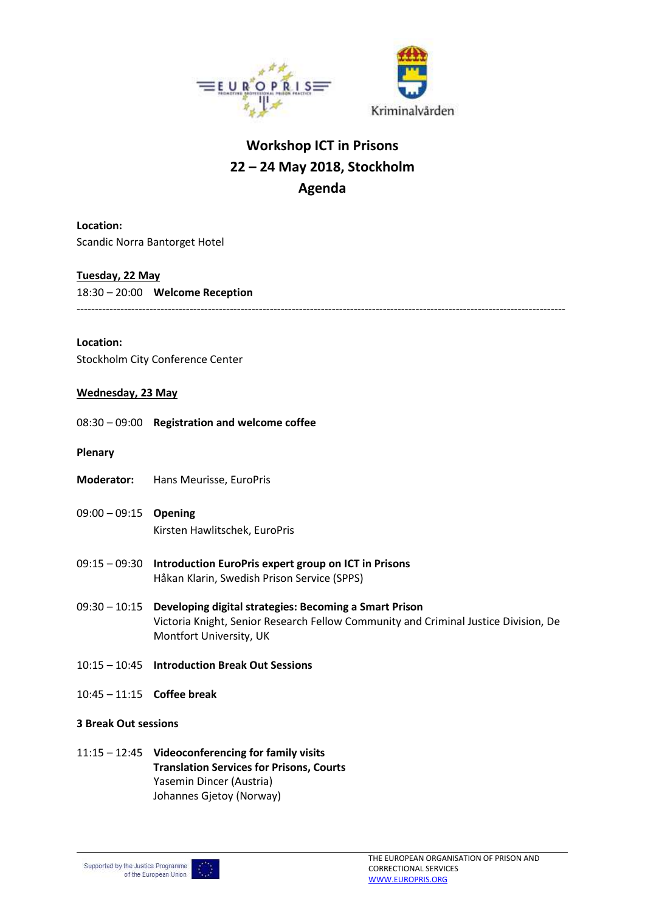



# **Workshop ICT in Prisons 22 – 24 May 2018, Stockholm Agenda**

**Location:** Scandic Norra Bantorget Hotel

## **Tuesday, 22 May**

18:30 – 20:00 **Welcome Reception** --------------------------------------------------------------------------------------------------------------------------------------

## **Location:**

Stockholm City Conference Center

## **Wednesday, 23 May**

08:30 – 09:00 **Registration and welcome coffee**

- **Plenary**
- **Moderator:** Hans Meurisse, EuroPris
- 09:00 09:15 **Opening** Kirsten Hawlitschek, EuroPris
- 09:15 09:30 **Introduction EuroPris expert group on ICT in Prisons** Håkan Klarin, Swedish Prison Service (SPPS)
- 09:30 10:15 **Developing digital strategies: Becoming a Smart Prison** Victoria Knight, Senior Research Fellow Community and Criminal Justice Division, De Montfort University, UK
- 10:15 10:45 **Introduction Break Out Sessions**
- 10:45 11:15 **Coffee break**

## **3 Break Out sessions**

11:15 – 12:45 **Videoconferencing for family visits Translation Services for Prisons, Courts** Yasemin Dincer (Austria) Johannes Gjetoy (Norway)

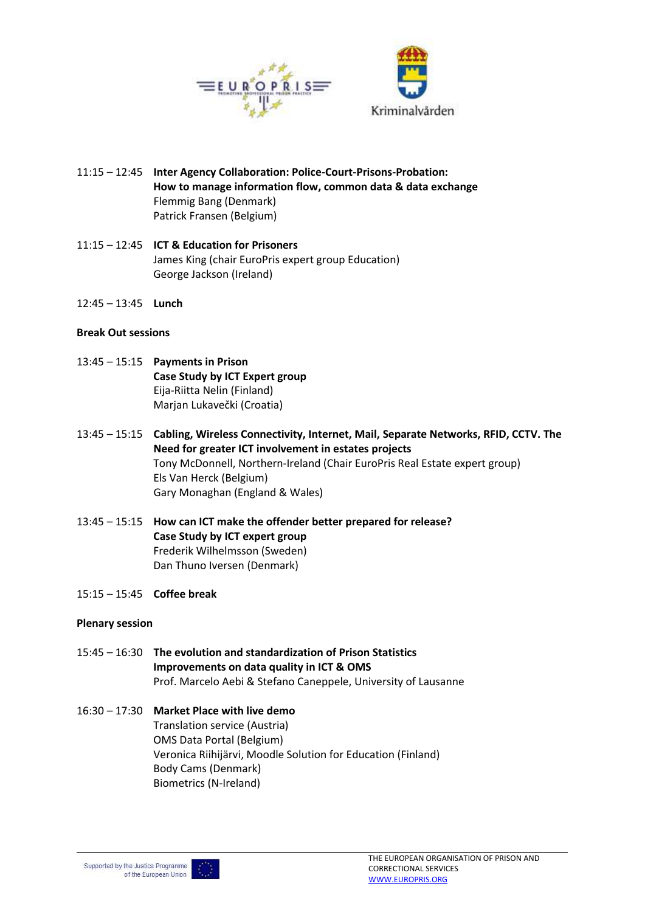

- 11:15 12:45 **Inter Agency Collaboration: Police-Court-Prisons-Probation: How to manage information flow, common data & data exchange** Flemmig Bang (Denmark) Patrick Fransen (Belgium)
- 11:15 12:45 **ICT & Education for Prisoners** James King (chair EuroPris expert group Education) George Jackson (Ireland)
- 12:45 13:45 **Lunch**

## **Break Out sessions**

- 13:45 15:15 **Payments in Prison Case Study by ICT Expert group** Eija-Riitta Nelin (Finland) Marjan Lukavečki (Croatia)
- 13:45 15:15 **Cabling, Wireless Connectivity, Internet, Mail, Separate Networks, RFID, CCTV. The Need for greater ICT involvement in estates projects** Tony McDonnell, Northern-Ireland (Chair EuroPris Real Estate expert group) Els Van Herck (Belgium) Gary Monaghan (England & Wales)
- 13:45 15:15 **How can ICT make the offender better prepared for release? Case Study by ICT expert group** Frederik Wilhelmsson (Sweden) Dan Thuno Iversen (Denmark)
- 15:15 15:45 **Coffee break**

## **Plenary session**

15:45 – 16:30 **The evolution and standardization of Prison Statistics Improvements on data quality in ICT & OMS** Prof. Marcelo Aebi & Stefano Caneppele, University of Lausanne

## 16:30 – 17:30 **Market Place with live demo** Translation service (Austria) OMS Data Portal (Belgium) Veronica Riihijärvi, Moodle Solution for Education (Finland) Body Cams (Denmark) Biometrics (N-Ireland)

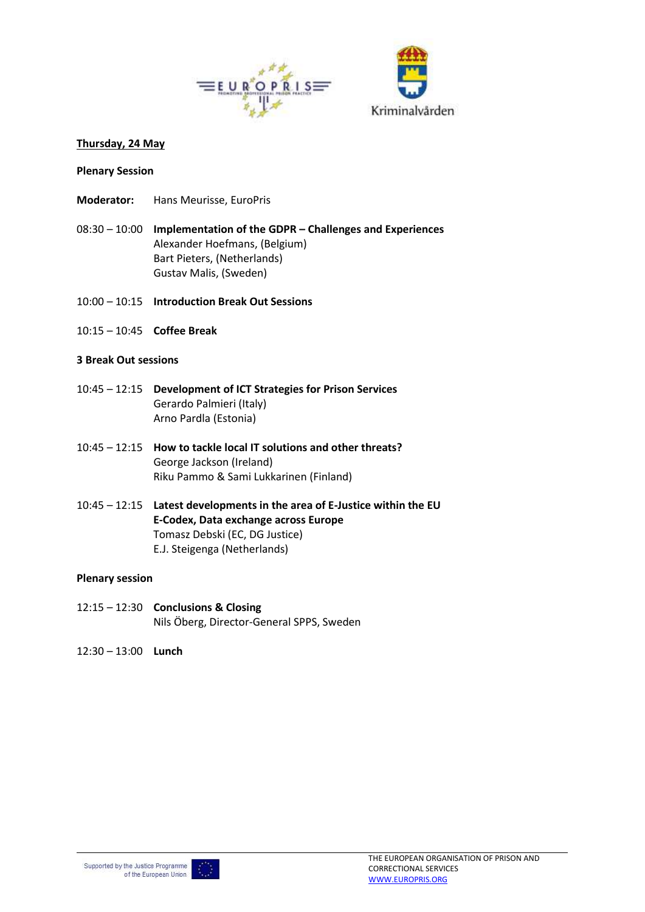

#### **Thursday, 24 May**

#### **Plenary Session**

- **Moderator:** Hans Meurisse, EuroPris
- 08:30 10:00 **Implementation of the GDPR – Challenges and Experiences** Alexander Hoefmans, (Belgium) Bart Pieters, (Netherlands) Gustav Malis, (Sweden)
- 10:00 10:15 **Introduction Break Out Sessions**
- 10:15 10:45 **Coffee Break**

#### **3 Break Out sessions**

- 10:45 12:15 **Development of ICT Strategies for Prison Services** Gerardo Palmieri (Italy) Arno Pardla (Estonia)
- 10:45 12:15 **How to tackle local IT solutions and other threats?** George Jackson (Ireland) Riku Pammo & Sami Lukkarinen (Finland)
- 10:45 12:15 **Latest developments in the area of E-Justice within the EU E-Codex, Data exchange across Europe**  Tomasz Debski (EC, DG Justice) E.J. Steigenga (Netherlands)

#### **Plenary session**

- 12:15 12:30 **Conclusions & Closing** Nils Öberg, Director-General SPPS, Sweden
- 12:30 13:00 **Lunch**